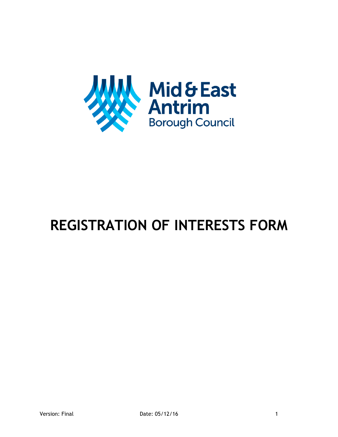

## **REGISTRATION OF INTERESTS FORM**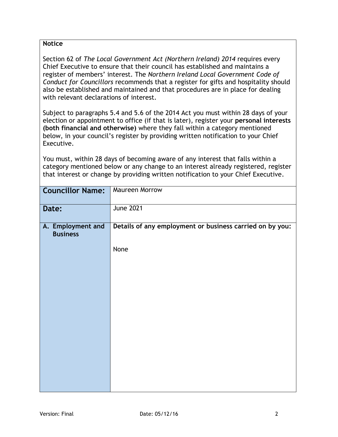## **Notice**

Section 62 of *The Local Government Act (Northern Ireland) 2014* requires every Chief Executive to ensure that their council has established and maintains a register of members' interest. The *Northern Ireland Local Government Code of Conduct for Councillors* recommends that a register for gifts and hospitality should also be established and maintained and that procedures are in place for dealing with relevant declarations of interest.

Subject to paragraphs 5.4 and 5.6 of the 2014 Act you must within 28 days of your election or appointment to office (if that is later), register your **personal interests (both financial and otherwise)** where they fall within a category mentioned below, in your council's register by providing written notification to your Chief Executive.

You must, within 28 days of becoming aware of any interest that falls within a category mentioned below or any change to an interest already registered, register that interest or change by providing written notification to your Chief Executive.

| <b>Councillor Name:</b>              | <b>Maureen Morrow</b>                                    |
|--------------------------------------|----------------------------------------------------------|
| Date:                                | <b>June 2021</b>                                         |
| A. Employment and<br><b>Business</b> | Details of any employment or business carried on by you: |
|                                      | None                                                     |
|                                      |                                                          |
|                                      |                                                          |
|                                      |                                                          |
|                                      |                                                          |
|                                      |                                                          |
|                                      |                                                          |
|                                      |                                                          |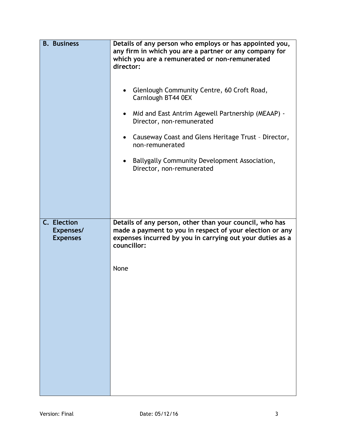| <b>B.</b> Business                          | Details of any person who employs or has appointed you,<br>any firm in which you are a partner or any company for<br>which you are a remunerated or non-remunerated<br>director:<br>Glenlough Community Centre, 60 Croft Road,<br>Carnlough BT44 0EX<br>Mid and East Antrim Agewell Partnership (MEAAP) -<br>$\bullet$<br>Director, non-remunerated<br>Causeway Coast and Glens Heritage Trust - Director,<br>non-remunerated<br>Ballygally Community Development Association,<br>Director, non-remunerated |
|---------------------------------------------|-------------------------------------------------------------------------------------------------------------------------------------------------------------------------------------------------------------------------------------------------------------------------------------------------------------------------------------------------------------------------------------------------------------------------------------------------------------------------------------------------------------|
| C. Election<br>Expenses/<br><b>Expenses</b> | Details of any person, other than your council, who has<br>made a payment to you in respect of your election or any<br>expenses incurred by you in carrying out your duties as a<br>councillor:<br>None                                                                                                                                                                                                                                                                                                     |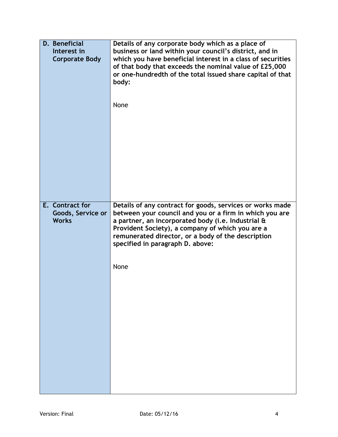| D. Beneficial<br>Interest in<br><b>Corporate Body</b> | Details of any corporate body which as a place of<br>business or land within your council's district, and in<br>which you have beneficial interest in a class of securities<br>of that body that exceeds the nominal value of £25,000<br>or one-hundredth of the total issued share capital of that<br>body:<br>None |
|-------------------------------------------------------|----------------------------------------------------------------------------------------------------------------------------------------------------------------------------------------------------------------------------------------------------------------------------------------------------------------------|
| E. Contract for<br>Goods, Service or<br><b>Works</b>  | Details of any contract for goods, services or works made<br>between your council and you or a firm in which you are<br>a partner, an incorporated body (i.e. Industrial &                                                                                                                                           |
|                                                       | Provident Society), a company of which you are a<br>remunerated director, or a body of the description<br>specified in paragraph D. above:                                                                                                                                                                           |
|                                                       | None                                                                                                                                                                                                                                                                                                                 |
|                                                       |                                                                                                                                                                                                                                                                                                                      |
|                                                       |                                                                                                                                                                                                                                                                                                                      |
|                                                       |                                                                                                                                                                                                                                                                                                                      |
|                                                       |                                                                                                                                                                                                                                                                                                                      |
|                                                       |                                                                                                                                                                                                                                                                                                                      |
|                                                       |                                                                                                                                                                                                                                                                                                                      |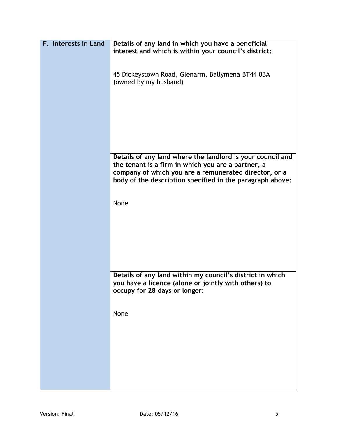| F. Interests in Land | Details of any land in which you have a beneficial<br>interest and which is within your council's district:                                        |
|----------------------|----------------------------------------------------------------------------------------------------------------------------------------------------|
|                      | 45 Dickeystown Road, Glenarm, Ballymena BT44 0BA<br>(owned by my husband)                                                                          |
|                      | Details of any land where the landlord is your council and<br>the tenant is a firm in which you are a partner, a                                   |
|                      | company of which you are a remunerated director, or a<br>body of the description specified in the paragraph above:                                 |
|                      | None                                                                                                                                               |
|                      |                                                                                                                                                    |
|                      | Details of any land within my council's district in which<br>you have a licence (alone or jointly with others) to<br>occupy for 28 days or longer: |
|                      | None                                                                                                                                               |
|                      |                                                                                                                                                    |
|                      |                                                                                                                                                    |